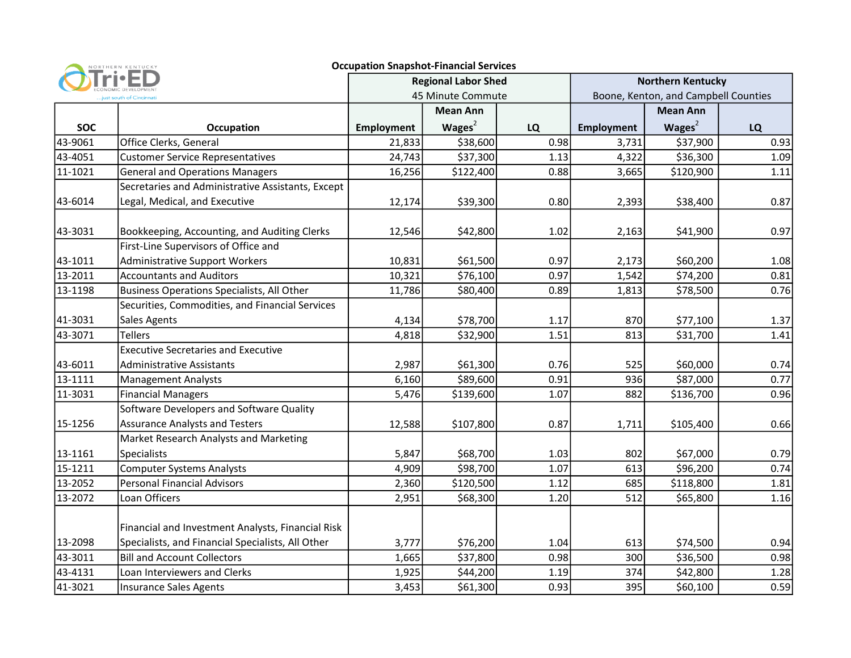|                         | NORTHERN KENTUCKY                                 | <b>Occupation Snapshot-Financial Services</b>   |           |      |                                                                  |           |      |
|-------------------------|---------------------------------------------------|-------------------------------------------------|-----------|------|------------------------------------------------------------------|-----------|------|
| just south of Cincinnat |                                                   | <b>Regional Labor Shed</b><br>45 Minute Commute |           |      | <b>Northern Kentucky</b><br>Boone, Kenton, and Campbell Counties |           |      |
|                         |                                                   |                                                 |           |      |                                                                  |           |      |
| <b>SOC</b>              | <b>Occupation</b>                                 | <b>Employment</b>                               | Wages $2$ | LQ   | Employment                                                       | Wages $2$ | LQ   |
| 43-9061                 | Office Clerks, General                            | 21,833                                          | \$38,600  | 0.98 | 3,731                                                            | \$37,900  | 0.93 |
| 43-4051                 | <b>Customer Service Representatives</b>           | 24,743                                          | \$37,300  | 1.13 | 4,322                                                            | \$36,300  | 1.09 |
| 11-1021                 | <b>General and Operations Managers</b>            | 16,256                                          | \$122,400 | 0.88 | 3,665                                                            | \$120,900 | 1.11 |
|                         | Secretaries and Administrative Assistants, Except |                                                 |           |      |                                                                  |           |      |
| 43-6014                 | Legal, Medical, and Executive                     | 12,174                                          | \$39,300  | 0.80 | 2,393                                                            | \$38,400  | 0.87 |
| 43-3031                 | Bookkeeping, Accounting, and Auditing Clerks      | 12,546                                          | \$42,800  | 1.02 | 2,163                                                            | \$41,900  | 0.97 |
|                         | First-Line Supervisors of Office and              |                                                 |           |      |                                                                  |           |      |
| 43-1011                 | <b>Administrative Support Workers</b>             | 10,831                                          | \$61,500  | 0.97 | 2,173                                                            | \$60,200  | 1.08 |
| 13-2011                 | <b>Accountants and Auditors</b>                   | 10,321                                          | \$76,100  | 0.97 | 1,542                                                            | \$74,200  | 0.81 |
| 13-1198                 | <b>Business Operations Specialists, All Other</b> | 11,786                                          | \$80,400  | 0.89 | 1,813                                                            | \$78,500  | 0.76 |
|                         | Securities, Commodities, and Financial Services   |                                                 |           |      |                                                                  |           |      |
| 41-3031                 | Sales Agents                                      | 4,134                                           | \$78,700  | 1.17 | 870                                                              | \$77,100  | 1.37 |
| 43-3071                 | <b>Tellers</b>                                    | 4,818                                           | \$32,900  | 1.51 | 813                                                              | \$31,700  | 1.41 |
|                         | <b>Executive Secretaries and Executive</b>        |                                                 |           |      |                                                                  |           |      |
| 43-6011                 | <b>Administrative Assistants</b>                  | 2,987                                           | \$61,300  | 0.76 | 525                                                              | \$60,000  | 0.74 |
| 13-1111                 | <b>Management Analysts</b>                        | 6,160                                           | \$89,600  | 0.91 | 936                                                              | \$87,000  | 0.77 |
| 11-3031                 | <b>Financial Managers</b>                         | 5,476                                           | \$139,600 | 1.07 | 882                                                              | \$136,700 | 0.96 |
|                         | Software Developers and Software Quality          |                                                 |           |      |                                                                  |           |      |
| 15-1256                 | <b>Assurance Analysts and Testers</b>             | 12,588                                          | \$107,800 | 0.87 | 1,711                                                            | \$105,400 | 0.66 |
|                         | Market Research Analysts and Marketing            |                                                 |           |      |                                                                  |           |      |
| 13-1161                 | Specialists                                       | 5,847                                           | \$68,700  | 1.03 | 802                                                              | \$67,000  | 0.79 |
| 15-1211                 | <b>Computer Systems Analysts</b>                  | 4,909                                           | \$98,700  | 1.07 | 613                                                              | \$96,200  | 0.74 |
| 13-2052                 | <b>Personal Financial Advisors</b>                | 2,360                                           | \$120,500 | 1.12 | 685                                                              | \$118,800 | 1.81 |
| 13-2072                 | Loan Officers                                     | 2,951                                           | \$68,300  | 1.20 | 512                                                              | \$65,800  | 1.16 |
|                         | Financial and Investment Analysts, Financial Risk |                                                 |           |      |                                                                  |           |      |
| 13-2098                 | Specialists, and Financial Specialists, All Other | 3,777                                           | \$76,200  | 1.04 | 613                                                              | \$74,500  | 0.94 |
| 43-3011                 | <b>Bill and Account Collectors</b>                | 1,665                                           | \$37,800  | 0.98 | 300                                                              | \$36,500  | 0.98 |
| 43-4131                 | Loan Interviewers and Clerks                      | 1,925                                           | \$44,200  | 1.19 | 374                                                              | \$42,800  | 1.28 |
| 41-3021                 | <b>Insurance Sales Agents</b>                     | 3,453                                           | \$61,300  | 0.93 | 395                                                              | \$60,100  | 0.59 |